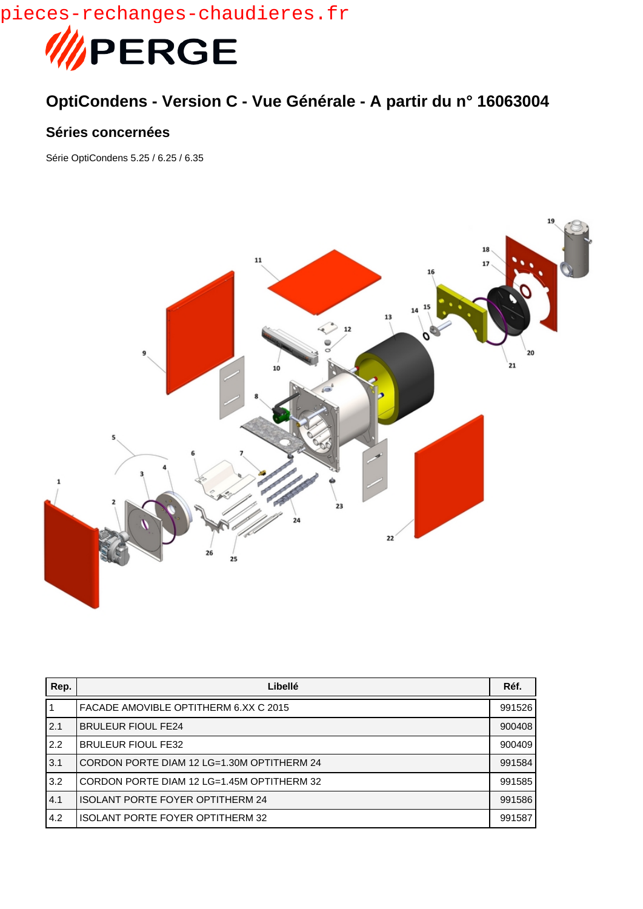pieces-rechanges-chaudieres.fr



## **OptiCondens - Version C - Vue Générale - A partir du n° 16063004**

## **Séries concernées**

Série OptiCondens 5.25 / 6.25 / 6.35



| Rep. | Libellé                                    | Réf.   |
|------|--------------------------------------------|--------|
|      | FACADE AMOVIBLE OPTITHERM 6.XX C 2015      | 991526 |
| 2.1  | <b>BRULEUR FIOUL FE24</b>                  | 900408 |
| 2.2  | <b>BRULEUR FIOUL FE32</b>                  | 900409 |
| 3.1  | CORDON PORTE DIAM 12 LG=1.30M OPTITHERM 24 | 991584 |
| 3.2  | CORDON PORTE DIAM 12 LG=1.45M OPTITHERM 32 | 991585 |
| 4.1  | <b>ISOLANT PORTE FOYER OPTITHERM 24</b>    | 991586 |
| 4.2  | <b>ISOLANT PORTE FOYER OPTITHERM 32</b>    | 991587 |